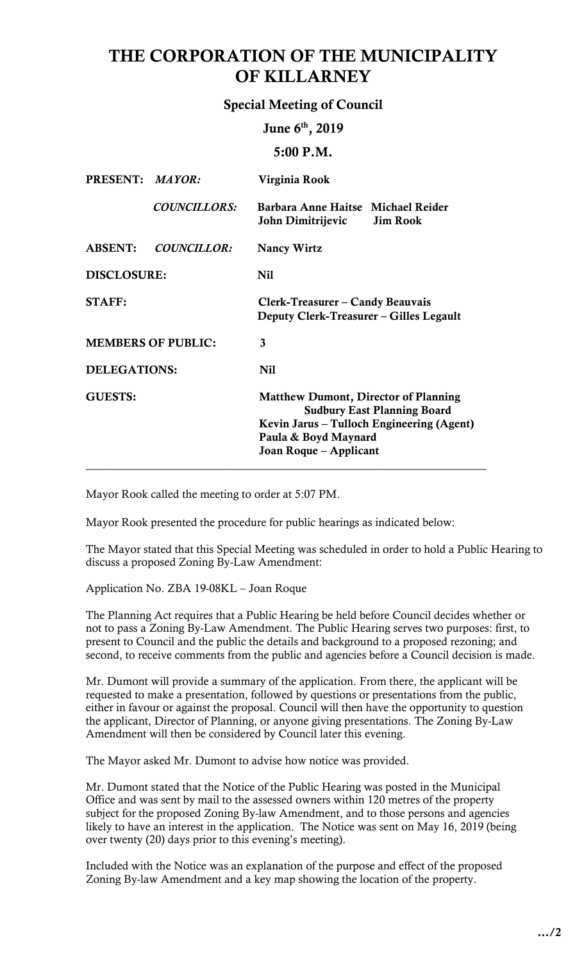# THE CORPORATION OF THE MUNICIPALITY OF KILLARNEY

# Special Meeting of Council

June 6<sup>th</sup>, 2019

5:00 P.M.

| PRESENT: MAYOR:           | Virginia Rook                                                                                                                                                                    |  |
|---------------------------|----------------------------------------------------------------------------------------------------------------------------------------------------------------------------------|--|
| <b>COUNCILLORS:</b>       | Barbara Anne Haitse Michael Reider<br>John Dimitrijevic Jim Rook                                                                                                                 |  |
| <b>COUNCILLOR:</b>        | <b>Nancy Wirtz</b>                                                                                                                                                               |  |
| <b>DISCLOSURE:</b>        | <b>Nil</b>                                                                                                                                                                       |  |
|                           | Clerk-Treasurer – Candy Beauvais<br>Deputy Clerk-Treasurer – Gilles Legault                                                                                                      |  |
| <b>MEMBERS OF PUBLIC:</b> | 3                                                                                                                                                                                |  |
| <b>DELEGATIONS:</b>       | <b>Nil</b>                                                                                                                                                                       |  |
|                           | <b>Matthew Dumont, Director of Planning</b><br><b>Sudbury East Planning Board</b><br>Kevin Jarus – Tulloch Engineering (Agent)<br>Paula & Boyd Maynard<br>Joan Roque – Applicant |  |
|                           |                                                                                                                                                                                  |  |

Mayor Rook called the meeting to order at 5:07 PM.

Mayor Rook presented the procedure for public hearings as indicated below:

 The Mayor stated that this Special Meeting was scheduled in order to hold a Public Hearing to discuss a proposed Zoning By-Law Amendment:

Application No. ZBA 19-08KL – Joan Roque

 The Planning Act requires that a Public Hearing be held before Council decides whether or not to pass a Zoning By-Law Amendment. The Public Hearing serves two purposes: first, to second, to receive comments from the public and agencies before a Council decision is made. present to Council and the public the details and background to a proposed rezoning; and

 Mr. Dumont will provide a summary of the application. From there, the applicant will be requested to make a presentation, followed by questions or presentations from the public, either in favour or against the proposal. Council will then have the opportunity to question the applicant, Director of Planning, or anyone giving presentations. The Zoning By-Law Amendment will then be considered by Council later this evening.

The Mayor asked Mr. Dumont to advise how notice was provided.

Mr. Dumont stated that the Notice of the Public Hearing was posted in the Municipal Office and was sent by mail to the assessed owners within 120 metres of the property subject for the proposed Zoning By-law Amendment, and to those persons and agencies likely to have an interest in the application. The Notice was sent on May 16, 2019 (being over twenty (20) days prior to this evening's meeting).

 Included with the Notice was an explanation of the purpose and effect of the proposed Zoning By-law Amendment and a key map showing the location of the property.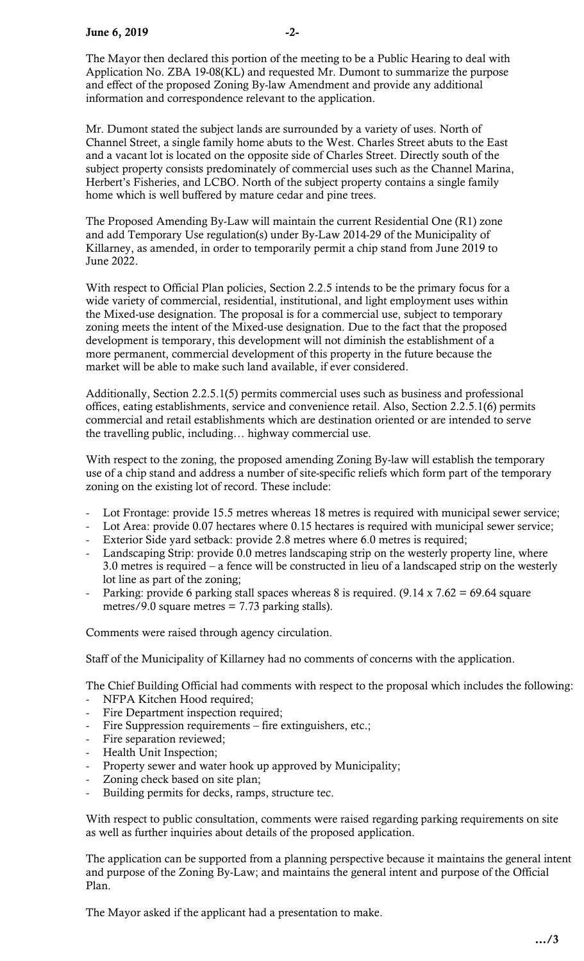The Mayor then declared this portion of the meeting to be a Public Hearing to deal with and effect of the proposed Zoning By-law Amendment and provide any additional information and correspondence relevant to the application. Application No. ZBA 19-08(KL) and requested Mr. Dumont to summarize the purpose

 Mr. Dumont stated the subject lands are surrounded by a variety of uses. North of Channel Street, a single family home abuts to the West. Charles Street abuts to the East subject property consists predominately of commercial uses such as the Channel Marina, Herbert's Fisheries, and LCBO. North of the subject property contains a single family home which is well buffered by mature cedar and pine trees. and a vacant lot is located on the opposite side of Charles Street. Directly south of the

 and add Temporary Use regulation(s) under By-Law 2014-29 of the Municipality of Killarney, as amended, in order to temporarily permit a chip stand from June 2019 to The Proposed Amending By-Law will maintain the current Residential One (R1) zone June 2022.

 With respect to Official Plan policies, Section 2.2.5 intends to be the primary focus for a wide variety of commercial, residential, institutional, and light employment uses within the Mixed-use designation. The proposal is for a commercial use, subject to temporary more permanent, commercial development of this property in the future because the market will be able to make such land available, if ever considered. zoning meets the intent of the Mixed-use designation. Due to the fact that the proposed development is temporary, this development will not diminish the establishment of a

 Additionally, Section 2.2.5.1(5) permits commercial uses such as business and professional offices, eating establishments, service and convenience retail. Also, Section 2.2.5.1(6) permits commercial and retail establishments which are destination oriented or are intended to serve the travelling public, including… highway commercial use.

 With respect to the zoning, the proposed amending Zoning By-law will establish the temporary use of a chip stand and address a number of site-specific reliefs which form part of the temporary zoning on the existing lot of record. These include:

- Lot Frontage: provide 15.5 metres whereas 18 metres is required with municipal sewer service;
- Lot Area: provide 0.07 hectares where 0.15 hectares is required with municipal sewer service;
- Exterior Side yard setback: provide 2.8 metres where 6.0 metres is required;
- Landscaping Strip: provide 0.0 metres landscaping strip on the westerly property line, where 3.0 metres is required – a fence will be constructed in lieu of a landscaped strip on the westerly lot line as part of the zoning;
- Parking: provide 6 parking stall spaces whereas 8 is required.  $(9.14 \times 7.62 = 69.64 \text{ square})$ metres/9.0 square metres = 7.73 parking stalls).

Comments were raised through agency circulation.

Staff of the Municipality of Killarney had no comments of concerns with the application.

The Chief Building Official had comments with respect to the proposal which includes the following:

- NFPA Kitchen Hood required;
- Fire Department inspection required;
- Fire Suppression requirements fire extinguishers, etc.;
- Fire separation reviewed;
- Health Unit Inspection;
- Property sewer and water hook up approved by Municipality;
- Zoning check based on site plan;
- Building permits for decks, ramps, structure tec.

 With respect to public consultation, comments were raised regarding parking requirements on site as well as further inquiries about details of the proposed application.

 The application can be supported from a planning perspective because it maintains the general intent and purpose of the Zoning By-Law; and maintains the general intent and purpose of the Official Plan.

The Mayor asked if the applicant had a presentation to make.